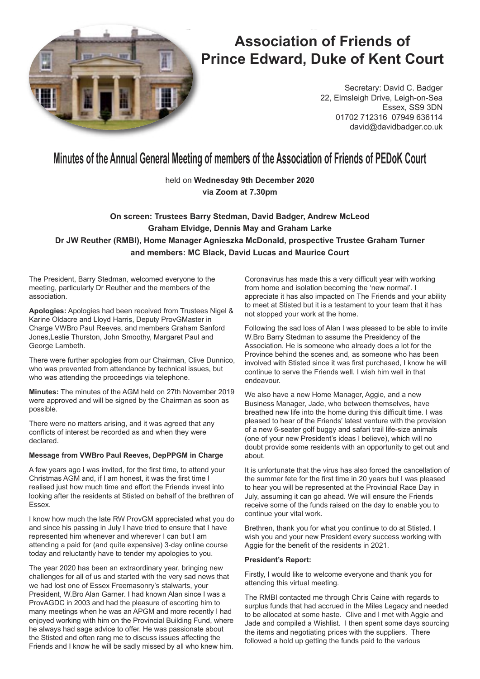

# **Association of Friends of Prince Edward, Duke of Kent Court**

Secretary: David C. Badger 22, Elmsleigh Drive, Leigh-on-Sea Essex, SS9 3DN 01702 712316 07949 636114 david@davidbadger.co.uk

# **Minutes of the Annual General Meeting of members of the Association of Friends of PEDoK Court**

held on **Wednesday 9th December 2020 via Zoom at 7.30pm**

# **On screen: Trustees Barry Stedman, David Badger, Andrew McLeod Graham Elvidge, Dennis May and Graham Larke Dr JW Reuther (RMBI), Home Manager Agnieszka McDonald, prospective Trustee Graham Turner and members: MC Black, David Lucas and Maurice Court**

The President, Barry Stedman, welcomed everyone to the meeting, particularly Dr Reuther and the members of the association.

**Apologies:** Apologies had been received from Trustees Nigel & Karine Oldacre and Lloyd Harris, Deputy ProvGMaster in Charge VWBro Paul Reeves, and members Graham Sanford Jones,Leslie Thurston, John Smoothy, Margaret Paul and George Lambeth.

There were further apologies from our Chairman, Clive Dunnico, who was prevented from attendance by technical issues, but who was attending the proceedings via telephone.

**Minutes:** The minutes of the AGM held on 27th November 2019 were approved and will be signed by the Chairman as soon as possible.

There were no matters arising, and it was agreed that any conflicts of interest be recorded as and when they were declared.

# **Message from VWBro Paul Reeves, DepPPGM in Charge**

A few years ago I was invited, for the first time, to attend your Christmas AGM and, if I am honest, it was the first time I realised just how much time and effort the Friends invest into looking after the residents at Stisted on behalf of the brethren of Essex.

I know how much the late RW ProvGM appreciated what you do and since his passing in July I have tried to ensure that I have represented him whenever and wherever I can but I am attending a paid for (and quite expensive) 3-day online course today and reluctantly have to tender my apologies to you.

The year 2020 has been an extraordinary year, bringing new challenges for all of us and started with the very sad news that we had lost one of Essex Freemasonry's stalwarts, your President, W.Bro Alan Garner. I had known Alan since I was a ProvAGDC in 2003 and had the pleasure of escorting him to many meetings when he was an APGM and more recently I had enjoyed working with him on the Provincial Building Fund, where he always had sage advice to offer. He was passionate about the Stisted and often rang me to discuss issues affecting the Friends and I know he will be sadly missed by all who knew him. Coronavirus has made this a very difficult year with working from home and isolation becoming the 'new normal'. I appreciate it has also impacted on The Friends and your ability to meet at Stisted but it is a testament to your team that it has not stopped your work at the home.

Following the sad loss of Alan I was pleased to be able to invite W.Bro Barry Stedman to assume the Presidency of the Association. He is someone who already does a lot for the Province behind the scenes and, as someone who has been involved with Stisted since it was first purchased, I know he will continue to serve the Friends well. I wish him well in that endeavour.

We also have a new Home Manager, Aggie, and a new Business Manager, Jade, who between themselves, have breathed new life into the home during this difficult time. I was pleased to hear of the Friends' latest venture with the provision of a new 6-seater golf buggy and safari trail life-size animals (one of your new President's ideas I believe), which will no doubt provide some residents with an opportunity to get out and about.

It is unfortunate that the virus has also forced the cancellation of the summer fete for the first time in 20 years but I was pleased to hear you will be represented at the Provincial Race Day in July, assuming it can go ahead. We will ensure the Friends receive some of the funds raised on the day to enable you to continue your vital work.

Brethren, thank you for what you continue to do at Stisted. I wish you and your new President every success working with Aggie for the benefit of the residents in 2021.

#### **President's Report:**

Firstly, I would like to welcome everyone and thank you for attending this virtual meeting.

The RMBI contacted me through Chris Caine with regards to surplus funds that had accrued in the Miles Legacy and needed to be allocated at some haste. Clive and I met with Aggie and Jade and compiled a Wishlist. I then spent some days sourcing the items and negotiating prices with the suppliers. There followed a hold up getting the funds paid to the various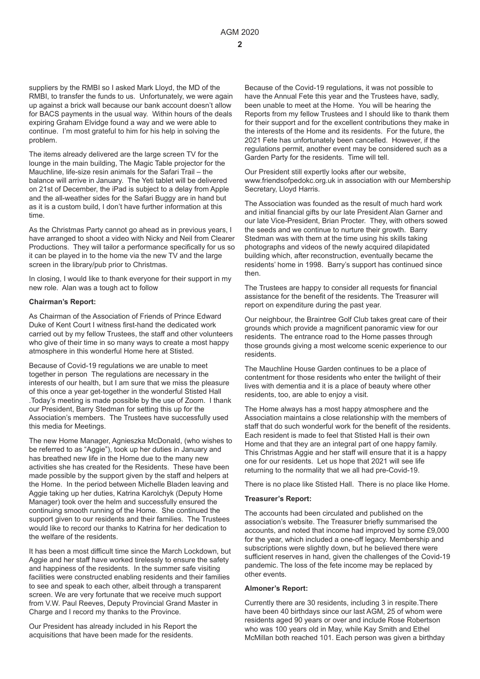suppliers by the RMBI so I asked Mark Lloyd, the MD of the RMBI, to transfer the funds to us. Unfortunately, we were again up against a brick wall because our bank account doesn't allow for BACS payments in the usual way. Within hours of the deals expiring Graham Elvidge found a way and we were able to continue. I'm most grateful to him for his help in solving the problem.

The items already delivered are the large screen TV for the lounge in the main building, The Magic Table projector for the Mauchline, life-size resin animals for the Safari Trail – the balance will arrive in January. The Yeti tablet will be delivered on 21st of December, the iPad is subject to a delay from Apple and the all-weather sides for the Safari Buggy are in hand but as it is a custom build, I don't have further information at this time.

As the Christmas Party cannot go ahead as in previous years, I have arranged to shoot a video with Nicky and Neil from Clearer Productions. They will tailor a performance specifically for us so it can be played in to the home via the new TV and the large screen in the library/pub prior to Christmas.

In closing, I would like to thank everyone for their support in my new role. Alan was a tough act to follow

### **Chairman's Report:**

As Chairman of the Association of Friends of Prince Edward Duke of Kent Court I witness first-hand the dedicated work carried out by my fellow Trustees, the staff and other volunteers who give of their time in so many ways to create a most happy atmosphere in this wonderful Home here at Stisted.

Because of Covid-19 regulations we are unable to meet together in person The regulations are necessary in the interests of our health, but I am sure that we miss the pleasure of this once a year get-together in the wonderful Stisted Hall .Today's meeting is made possible by the use of Zoom. I thank our President, Barry Stedman for setting this up for the Association's members. The Trustees have successfully used this media for Meetings.

The new Home Manager, Agnieszka McDonald, (who wishes to be referred to as "Aggie"), took up her duties in January and has breathed new life in the Home due to the many new activities she has created for the Residents. These have been made possible by the support given by the staff and helpers at the Home. In the period between Michelle Bladen leaving and Aggie taking up her duties, Katrina Karolchyk (Deputy Home Manager) took over the helm and successfully ensured the continuing smooth running of the Home. She continued the support given to our residents and their families. The Trustees would like to record our thanks to Katrina for her dedication to the welfare of the residents.

It has been a most difficult time since the March Lockdown, but Aggie and her staff have worked tirelessly to ensure the safety and happiness of the residents. In the summer safe visiting facilities were constructed enabling residents and their families to see and speak to each other, albeit through a transparent screen. We are very fortunate that we receive much support from V.W. Paul Reeves, Deputy Provincial Grand Master in Charge and I record my thanks to the Province.

Our President has already included in his Report the acquisitions that have been made for the residents.

Because of the Covid-19 regulations, it was not possible to have the Annual Fete this year and the Trustees have, sadly, been unable to meet at the Home. You will be hearing the Reports from my fellow Trustees and I should like to thank them for their support and for the excellent contributions they make in the interests of the Home and its residents. For the future, the 2021 Fete has unfortunately been cancelled. However, if the regulations permit, another event may be considered such as a Garden Party for the residents. Time will tell.

Our President still expertly looks after our website, www.friendsofpedokc.org.uk in association with our Membership Secretary, Lloyd Harris.

The Association was founded as the result of much hard work and initial financial gifts by our late President Alan Garner and our late Vice-President, Brian Procter. They, with others sowed the seeds and we continue to nurture their growth. Barry Stedman was with them at the time using his skills taking photographs and videos of the newly acquired dilapidated building which, after reconstruction, eventually became the residents' home in 1998. Barry's support has continued since then.

The Trustees are happy to consider all requests for financial assistance for the benefit of the residents. The Treasurer will report on expenditure during the past year.

Our neighbour, the Braintree Golf Club takes great care of their grounds which provide a magnificent panoramic view for our residents. The entrance road to the Home passes through those grounds giving a most welcome scenic experience to our residents.

The Mauchline House Garden continues to be a place of contentment for those residents who enter the twilight of their lives with dementia and it is a place of beauty where other residents, too, are able to enjoy a visit.

The Home always has a most happy atmosphere and the Association maintains a close relationship with the members of staff that do such wonderful work for the benefit of the residents. Each resident is made to feel that Stisted Hall is their own Home and that they are an integral part of one happy family. This Christmas Aggie and her staff will ensure that it is a happy one for our residents. Let us hope that 2021 will see life returning to the normality that we all had pre-Covid-19.

There is no place like Stisted Hall. There is no place like Home.

#### **Treasurer's Report:**

The accounts had been circulated and published on the association's website. The Treasurer briefly summarised the accounts, and noted that income had improved by some £9,000 for the year, which included a one-off legacy. Membership and subscriptions were slightly down, but he believed there were sufficient reserves in hand, given the challenges of the Covid-19 pandemic. The loss of the fete income may be replaced by other events.

#### **Almoner's Report:**

Currently there are 30 residents, including 3 in respite.There have been 40 birthdays since our last AGM, 25 of whom were residents aged 90 years or over and include Rose Robertson who was 100 years old in May, while Kay Smith and Ethel McMillan both reached 101. Each person was given a birthday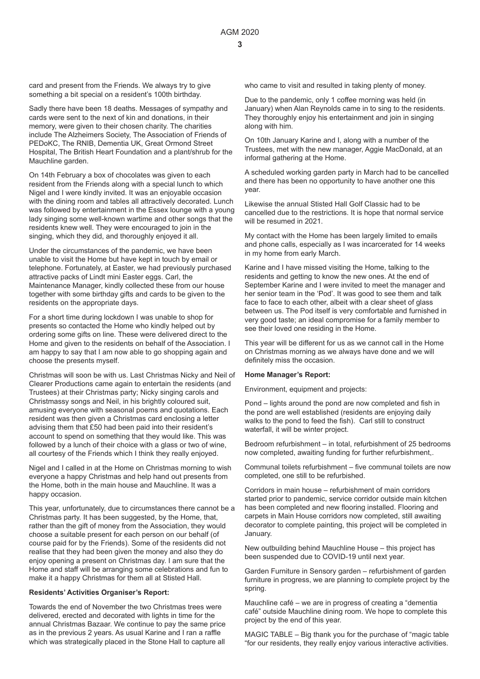card and present from the Friends. We always try to give something a bit special on a resident's 100th birthday.

Sadly there have been 18 deaths. Messages of sympathy and cards were sent to the next of kin and donations, in their memory, were given to their chosen charity. The charities include The Alzheimers Society, The Association of Friends of PEDoKC, The RNIB, Dementia UK, Great Ormond Street Hospital, The British Heart Foundation and a plant/shrub for the Mauchline garden.

On 14th February a box of chocolates was given to each resident from the Friends along with a special lunch to which Nigel and I were kindly invited. It was an enjoyable occasion with the dining room and tables all attractively decorated. Lunch was followed by entertainment in the Essex lounge with a young lady singing some well-known wartime and other songs that the residents knew well. They were encouraged to join in the singing, which they did, and thoroughly enjoyed it all.

Under the circumstances of the pandemic, we have been unable to visit the Home but have kept in touch by email or telephone. Fortunately, at Easter, we had previously purchased attractive packs of Lindt mini Easter eggs. Carl, the Maintenance Manager, kindly collected these from our house together with some birthday gifts and cards to be given to the residents on the appropriate days.

For a short time during lockdown I was unable to shop for presents so contacted the Home who kindly helped out by ordering some gifts on line. These were delivered direct to the Home and given to the residents on behalf of the Association. I am happy to say that I am now able to go shopping again and choose the presents myself.

Christmas will soon be with us. Last Christmas Nicky and Neil of Clearer Productions came again to entertain the residents (and Trustees) at their Christmas party; Nicky singing carols and Christmassy songs and Neil, in his brightly coloured suit, amusing everyone with seasonal poems and quotations. Each resident was then given a Christmas card enclosing a letter advising them that £50 had been paid into their resident's account to spend on something that they would like. This was followed by a lunch of their choice with a glass or two of wine, all courtesy of the Friends which I think they really enjoyed.

Nigel and I called in at the Home on Christmas morning to wish everyone a happy Christmas and help hand out presents from the Home, both in the main house and Mauchline. It was a happy occasion.

This year, unfortunately, due to circumstances there cannot be a Christmas party. It has been suggested, by the Home, that, rather than the gift of money from the Association, they would choose a suitable present for each person on our behalf (of course paid for by the Friends). Some of the residents did not realise that they had been given the money and also they do enjoy opening a present on Christmas day. I am sure that the Home and staff will be arranging some celebrations and fun to make it a happy Christmas for them all at Stisted Hall.

#### **Residents' Activities Organiser's Report:**

Towards the end of November the two Christmas trees were delivered, erected and decorated with lights in time for the annual Christmas Bazaar. We continue to pay the same price as in the previous 2 years. As usual Karine and I ran a raffle which was strategically placed in the Stone Hall to capture all

who came to visit and resulted in taking plenty of money.

Due to the pandemic, only 1 coffee morning was held (in January) when Alan Reynolds came in to sing to the residents. They thoroughly enjoy his entertainment and join in singing along with him.

On 10th January Karine and I, along with a number of the Trustees, met with the new manager, Aggie MacDonald, at an informal gathering at the Home.

A scheduled working garden party in March had to be cancelled and there has been no opportunity to have another one this year.

Likewise the annual Stisted Hall Golf Classic had to be cancelled due to the restrictions. It is hope that normal service will be resumed in 2021.

My contact with the Home has been largely limited to emails and phone calls, especially as I was incarcerated for 14 weeks in my home from early March.

Karine and I have missed visiting the Home, talking to the residents and getting to know the new ones. At the end of September Karine and I were invited to meet the manager and her senior team in the 'Pod'. It was good to see them and talk face to face to each other, albeit with a clear sheet of glass between us. The Pod itself is very comfortable and furnished in very good taste; an ideal compromise for a family member to see their loved one residing in the Home.

This year will be different for us as we cannot call in the Home on Christmas morning as we always have done and we will definitely miss the occasion.

#### **Home Manager's Report:**

Environment, equipment and projects:

Pond – lights around the pond are now completed and fish in the pond are well established (residents are enjoying daily walks to the pond to feed the fish). Carl still to construct waterfall, it will be winter project.

Bedroom refurbishment – in total, refurbishment of 25 bedrooms now completed, awaiting funding for further refurbishment,.

Communal toilets refurbishment – five communal toilets are now completed, one still to be refurbished.

Corridors in main house – refurbishment of main corridors started prior to pandemic, service corridor outside main kitchen has been completed and new flooring installed. Flooring and carpets in Main House corridors now completed, still awaiting decorator to complete painting, this project will be completed in January.

New outbuilding behind Mauchline House – this project has been suspended due to COVID-19 until next year.

Garden Furniture in Sensory garden – refurbishment of garden furniture in progress, we are planning to complete project by the spring.

Mauchline café – we are in progress of creating a "dementia café" outside Mauchline dining room. We hope to complete this project by the end of this year.

MAGIC TABLE – Big thank you for the purchase of "magic table "for our residents, they really enjoy various interactive activities.